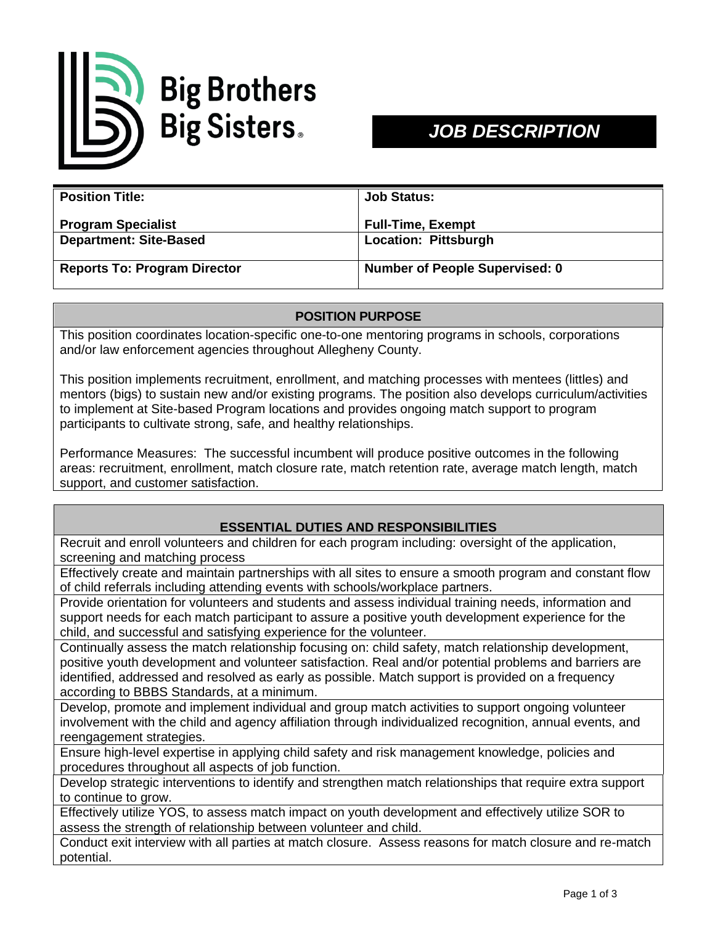

# *JOB DESCRIPTION*

| <b>Position Title:</b>              | <b>Job Status:</b>                    |
|-------------------------------------|---------------------------------------|
| <b>Program Specialist</b>           | <b>Full-Time, Exempt</b>              |
| <b>Department: Site-Based</b>       | <b>Location: Pittsburgh</b>           |
| <b>Reports To: Program Director</b> | <b>Number of People Supervised: 0</b> |

## **POSITION PURPOSE**

This position coordinates location-specific one-to-one mentoring programs in schools, corporations and/or law enforcement agencies throughout Allegheny County.

This position implements recruitment, enrollment, and matching processes with mentees (littles) and mentors (bigs) to sustain new and/or existing programs. The position also develops curriculum/activities to implement at Site-based Program locations and provides ongoing match support to program participants to cultivate strong, safe, and healthy relationships.

Performance Measures: The successful incumbent will produce positive outcomes in the following areas: recruitment, enrollment, match closure rate, match retention rate, average match length, match support, and customer satisfaction.

## **ESSENTIAL DUTIES AND RESPONSIBILITIES**

Recruit and enroll volunteers and children for each program including: oversight of the application, screening and matching process

Effectively create and maintain partnerships with all sites to ensure a smooth program and constant flow of child referrals including attending events with schools/workplace partners.

Provide orientation for volunteers and students and assess individual training needs, information and support needs for each match participant to assure a positive youth development experience for the child, and successful and satisfying experience for the volunteer.

Continually assess the match relationship focusing on: child safety, match relationship development, positive youth development and volunteer satisfaction. Real and/or potential problems and barriers are identified, addressed and resolved as early as possible. Match support is provided on a frequency according to BBBS Standards, at a minimum.

Develop, promote and implement individual and group match activities to support ongoing volunteer involvement with the child and agency affiliation through individualized recognition, annual events, and reengagement strategies.

Ensure high-level expertise in applying child safety and risk management knowledge, policies and procedures throughout all aspects of job function.

Develop strategic interventions to identify and strengthen match relationships that require extra support to continue to grow.

Effectively utilize YOS, to assess match impact on youth development and effectively utilize SOR to assess the strength of relationship between volunteer and child.

Conduct exit interview with all parties at match closure. Assess reasons for match closure and re-match potential.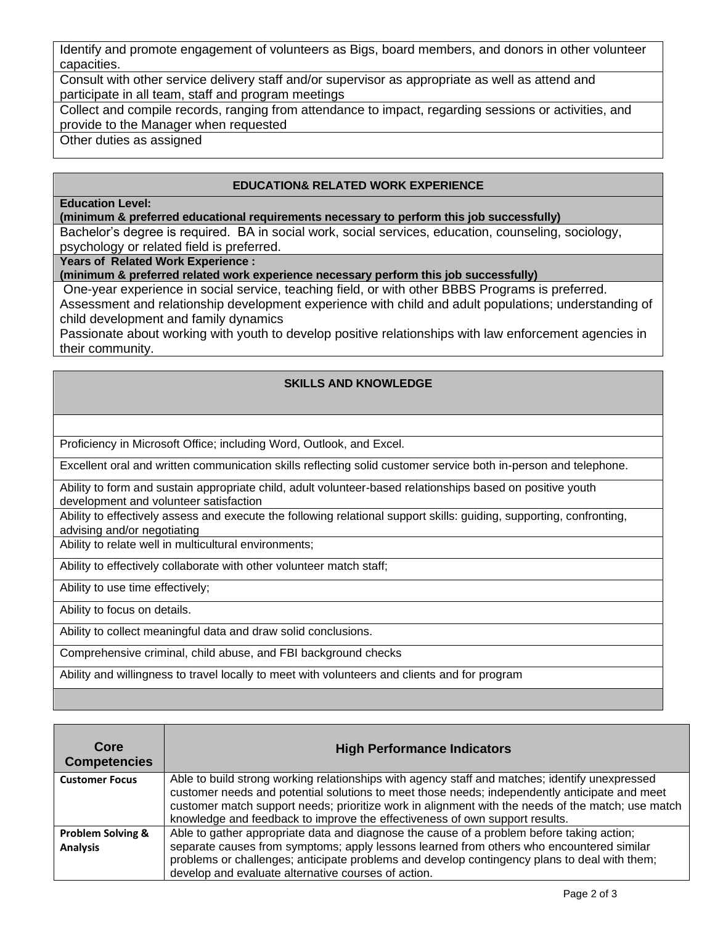Identify and promote engagement of volunteers as Bigs, board members, and donors in other volunteer capacities.

Consult with other service delivery staff and/or supervisor as appropriate as well as attend and participate in all team, staff and program meetings

Collect and compile records, ranging from attendance to impact, regarding sessions or activities, and provide to the Manager when requested

Other duties as assigned

## **EDUCATION& RELATED WORK EXPERIENCE**

### **Education Level:**

**(minimum & preferred educational requirements necessary to perform this job successfully)**

Bachelor's degree is required. BA in social work, social services, education, counseling, sociology, psychology or related field is preferred.

**Years of Related Work Experience :**

**(minimum & preferred related work experience necessary perform this job successfully)**

One-year experience in social service, teaching field, or with other BBBS Programs is preferred. Assessment and relationship development experience with child and adult populations; understanding of child development and family dynamics

Passionate about working with youth to develop positive relationships with law enforcement agencies in their community.

## **SKILLS AND KNOWLEDGE**

Proficiency in Microsoft Office; including Word, Outlook, and Excel.

Excellent oral and written communication skills reflecting solid customer service both in-person and telephone.

Ability to form and sustain appropriate child, adult volunteer-based relationships based on positive youth development and volunteer satisfaction

Ability to effectively assess and execute the following relational support skills: guiding, supporting, confronting, advising and/or negotiating

Ability to relate well in multicultural environments;

Ability to effectively collaborate with other volunteer match staff;

Ability to use time effectively;

Ability to focus on details.

Ability to collect meaningful data and draw solid conclusions.

Comprehensive criminal, child abuse, and FBI background checks

Ability and willingness to travel locally to meet with volunteers and clients and for program

| Core<br><b>Competencies</b>  | <b>High Performance Indicators</b>                                                                |
|------------------------------|---------------------------------------------------------------------------------------------------|
| <b>Customer Focus</b>        | Able to build strong working relationships with agency staff and matches; identify unexpressed    |
|                              | customer needs and potential solutions to meet those needs; independently anticipate and meet     |
|                              | customer match support needs; prioritize work in alignment with the needs of the match; use match |
|                              | knowledge and feedback to improve the effectiveness of own support results.                       |
| <b>Problem Solving &amp;</b> | Able to gather appropriate data and diagnose the cause of a problem before taking action;         |
| <b>Analysis</b>              | separate causes from symptoms; apply lessons learned from others who encountered similar          |
|                              | problems or challenges; anticipate problems and develop contingency plans to deal with them;      |
|                              | develop and evaluate alternative courses of action.                                               |